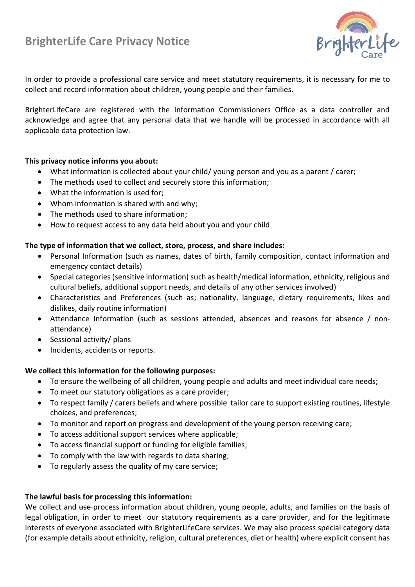# **BrighterLife Care Privacy Notice**



In order to provide a professional care service and meet statutory requirements, it is necessary for me to collect and record information about children, young people and their families.

BrighterLifeCare are registered with the Information Commissioners Office as a data controller and acknowledge and agree that any personal data that we handle will be processed in accordance with all applicable data protection law.

## **This privacy notice informs you about:**

- What information is collected about your child/ young person and you as a parent / carer;
- The methods used to collect and securely store this information;
- What the information is used for;
- Whom information is shared with and why;
- The methods used to share information;
- How to request access to any data held about you and your child

## **The type of information that we collect, store, process, and share includes:**

- Personal Information (such as names, dates of birth, family composition, contact information and emergency contact details)
- Special categories (sensitive information) such as health/medical information, ethnicity, religious and cultural beliefs, additional support needs, and details of any other services involved)
- Characteristics and Preferences (such as; nationality, language, dietary requirements, likes and dislikes, daily routine information)
- Attendance Information (such as sessions attended, absences and reasons for absence / nonattendance)
- Sessional activity/ plans
- Incidents, accidents or reports.

# **We collect this information for the following purposes:**

- To ensure the wellbeing of all children, young people and adults and meet individual care needs;
- To meet our statutory obligations as a care provider;
- To respect family / carers beliefs and where possible tailor care to support existing routines, lifestyle choices, and preferences;
- To monitor and report on progress and development of the young person receiving care;
- To access additional support services where applicable;
- To access financial support or funding for eligible families;
- To comply with the law with regards to data sharing;
- To regularly assess the quality of my care service;

## **The lawful basis for processing this information:**

We collect and use-process information about children, young people, adults, and families on the basis of legal obligation, in order to meet our statutory requirements as a care provider, and for the legitimate interests of everyone associated with BrighterLifeCare services. We may also process special category data (for example details about ethnicity, religion, cultural preferences, diet or health) where explicit consent has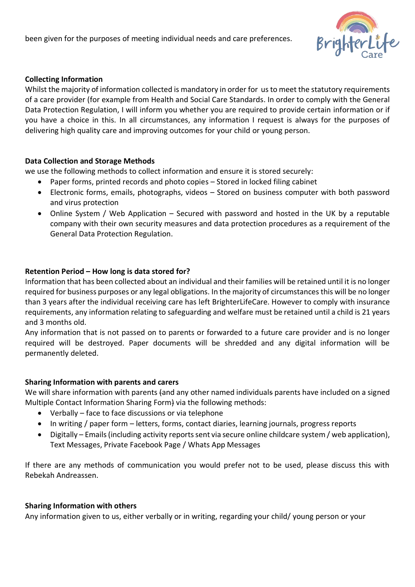been given for the purposes of meeting individual needs and care preferences.



## **Collecting Information**

Whilst the majority of information collected is mandatory in order for us to meet the statutory requirements of a care provider (for example from Health and Social Care Standards. In order to comply with the General Data Protection Regulation, I will inform you whether you are required to provide certain information or if you have a choice in this. In all circumstances, any information I request is always for the purposes of delivering high quality care and improving outcomes for your child or young person.

## **Data Collection and Storage Methods**

we use the following methods to collect information and ensure it is stored securely:

- Paper forms, printed records and photo copies Stored in locked filing cabinet
- Electronic forms, emails, photographs, videos Stored on business computer with both password and virus protection
- Online System / Web Application Secured with password and hosted in the UK by a reputable company with their own security measures and data protection procedures as a requirement of the General Data Protection Regulation.

## **Retention Period – How long is data stored for?**

Information that has been collected about an individual and their families will be retained until it is no longer required for business purposes or any legal obligations. In the majority of circumstances this will be no longer than 3 years after the individual receiving care has left BrighterLifeCare. However to comply with insurance requirements, any information relating to safeguarding and welfare must be retained until a child is 21 years and 3 months old.

Any information that is not passed on to parents or forwarded to a future care provider and is no longer required will be destroyed. Paper documents will be shredded and any digital information will be permanently deleted.

## **Sharing Information with parents and carers**

We will share information with parents (and any other named individuals parents have included on a signed Multiple Contact Information Sharing Form) via the following methods:

- Verbally face to face discussions or via telephone
- In writing / paper form letters, forms, contact diaries, learning journals, progress reports
- Digitally Emails(including activity reports sent via secure online childcare system / web application), Text Messages, Private Facebook Page / Whats App Messages

If there are any methods of communication you would prefer not to be used, please discuss this with Rebekah Andreassen.

## **Sharing Information with others**

Any information given to us, either verbally or in writing, regarding your child/ young person or your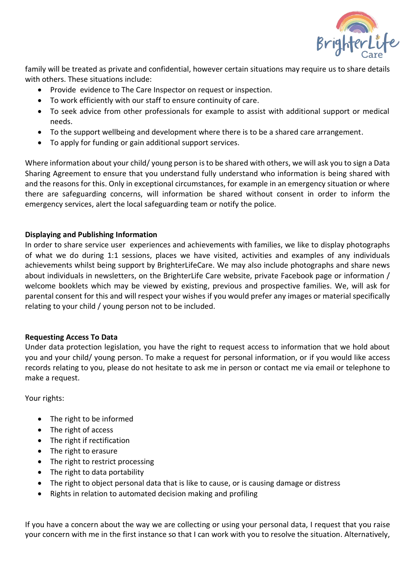

family will be treated as private and confidential, however certain situations may require us to share details with others. These situations include:

- Provide evidence to The Care Inspector on request or inspection.
- To work efficiently with our staff to ensure continuity of care.
- To seek advice from other professionals for example to assist with additional support or medical needs.
- To the support wellbeing and development where there is to be a shared care arrangement.
- To apply for funding or gain additional support services.

Where information about your child/ young person is to be shared with others, we will ask you to sign a Data Sharing Agreement to ensure that you understand fully understand who information is being shared with and the reasons for this. Only in exceptional circumstances, for example in an emergency situation or where there are safeguarding concerns, will information be shared without consent in order to inform the emergency services, alert the local safeguarding team or notify the police.

# **Displaying and Publishing Information**

In order to share service user experiences and achievements with families, we like to display photographs of what we do during 1:1 sessions, places we have visited, activities and examples of any individuals achievements whilst being support by BrighterLifeCare. We may also include photographs and share news about individuals in newsletters, on the BrighterLife Care website, private Facebook page or information / welcome booklets which may be viewed by existing, previous and prospective families. We, will ask for parental consent for this and will respect your wishes if you would prefer any images or material specifically relating to your child / young person not to be included.

## **Requesting Access To Data**

Under data protection legislation, you have the right to request access to information that we hold about you and your child/ young person. To make a request for personal information, or if you would like access records relating to you, please do not hesitate to ask me in person or contact me via email or telephone to make a request.

Your rights:

- The right to be informed
- The right of access
- The right if rectification
- The right to erasure
- The right to restrict processing
- The right to data portability
- The right to object personal data that is like to cause, or is causing damage or distress
- Rights in relation to automated decision making and profiling

If you have a concern about the way we are collecting or using your personal data, I request that you raise your concern with me in the first instance so that I can work with you to resolve the situation. Alternatively,